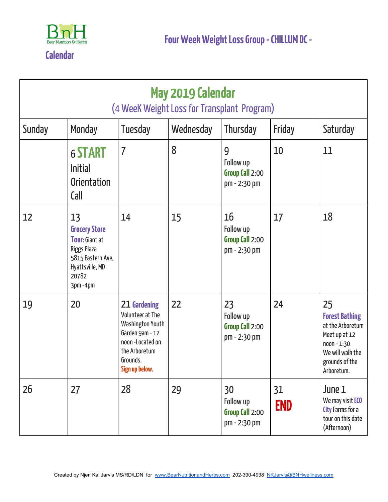

**Calendar**

| May 2019 Calendar<br>(4 WeeK Weight Loss for Transplant Program) |                                                                                                                                       |                                                                                                                                            |           |                                                    |                  |                                                                                                                                        |
|------------------------------------------------------------------|---------------------------------------------------------------------------------------------------------------------------------------|--------------------------------------------------------------------------------------------------------------------------------------------|-----------|----------------------------------------------------|------------------|----------------------------------------------------------------------------------------------------------------------------------------|
| Sunday                                                           | Monday                                                                                                                                | Tuesday                                                                                                                                    | Wednesday | Thursday                                           | Friday           | Saturday                                                                                                                               |
|                                                                  | <b>6 START</b><br><b>Initial</b><br><b>Orientation</b><br>Call                                                                        | $\overline{I}$                                                                                                                             | 8         | 9<br>Follow up<br>Group Call 2:00<br>pm - 2:30 pm  | 10               | 11                                                                                                                                     |
| 12                                                               | 13<br><b>Grocery Store</b><br><b>Tour: Giant at</b><br><b>Riggs Plaza</b><br>5815 Eastern Ave,<br>Hyattsville, MD<br>20782<br>3pm-4pm | 14                                                                                                                                         | 15        | 16<br>Follow up<br>Group Call 2:00<br>pm - 2:30 pm | 17               | 18                                                                                                                                     |
| 19                                                               | 20                                                                                                                                    | 21 Gardening<br>Volunteer at The<br>Washington Youth<br>Garden 9am - 12<br>noon -Located on<br>the Arboretum<br>Grounds.<br>Sign up below. | 22        | 23<br>Follow up<br>Group Call 2:00<br>pm - 2:30 pm | 24               | 25<br><b>Forest Bathing</b><br>at the Arboretum<br>Meet up at 12<br>$n$ oon - 1:30<br>We will walk the<br>grounds of the<br>Arboretum. |
| 26                                                               | 27                                                                                                                                    | 28                                                                                                                                         | 29        | 30<br>Follow up<br>Group Call 2:00<br>pm - 2:30 pm | 31<br><b>END</b> | June 1<br>We may visit <b>ECO</b><br>City Farms for a<br>tour on this date<br>(Afternoon)                                              |